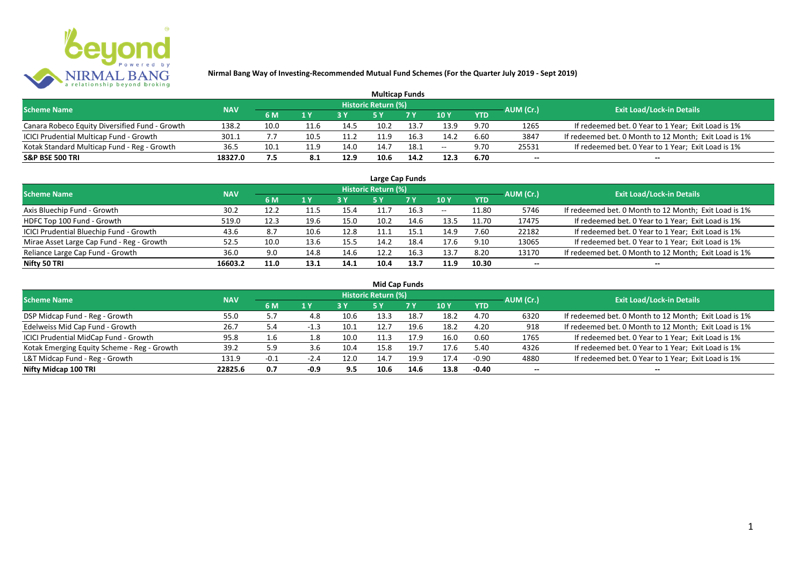

| <b>Multicap Funds</b>                          |            |      |      |      |                     |            |        |            |           |                                                       |  |  |  |
|------------------------------------------------|------------|------|------|------|---------------------|------------|--------|------------|-----------|-------------------------------------------------------|--|--|--|
| <b>Scheme Name</b>                             | <b>NAV</b> |      |      |      | Historic Return (%) |            |        |            | AUM (Cr.) | <b>Exit Load/Lock-in Details</b>                      |  |  |  |
|                                                |            | 6 M  | 1 Y  | 2V   |                     | <b>7 Y</b> | $-10Y$ | <b>YTD</b> |           |                                                       |  |  |  |
| Canara Robeco Equity Diversified Fund - Growth | 138.2      | 10.0 | 11.6 | 14.5 | 10.2                | 13.7       | 13.9   | 9.70       | 1265      | If redeemed bet. 0 Year to 1 Year; Exit Load is 1%    |  |  |  |
| ICICI Prudential Multicap Fund - Growth        | 301.1      |      | 10.5 | 11.2 |                     | 16.3       | 14.2   | 6.60       | 3847      | If redeemed bet. 0 Month to 12 Month; Exit Load is 1% |  |  |  |
| Kotak Standard Multicap Fund - Reg - Growth    | 36.5       | 10.1 | 11.9 | 14.0 | 14.7                | 18.1       | $- -$  | 9.70       | 25531     | If redeemed bet. 0 Year to 1 Year; Exit Load is 1%    |  |  |  |
| <b>S&amp;P BSE 500 TRI</b>                     | 18327.0    | 7.5  |      | 12.9 | 10.6                | 14.2       | 12.3   | 6.70       | $- -$     | $- -$                                                 |  |  |  |

| Large Cap Funds                           |            |      |      |      |                            |      |       |            |                          |                                                       |  |  |  |  |
|-------------------------------------------|------------|------|------|------|----------------------------|------|-------|------------|--------------------------|-------------------------------------------------------|--|--|--|--|
| <b>Scheme Name</b>                        | <b>NAV</b> |      |      |      | <b>Historic Return (%)</b> |      |       |            | AUM (Cr.)                | <b>Exit Load/Lock-in Details</b>                      |  |  |  |  |
|                                           |            | 6 M  | 1 Y  |      | 5 Y                        | 7 Y  | 10Y   | <b>YTD</b> |                          |                                                       |  |  |  |  |
| Axis Bluechip Fund - Growth               | 30.2       | 12.2 | 11.5 | 15.4 | 11.7                       | 16.3 | $- -$ | 11.80      | 5746                     | If redeemed bet. 0 Month to 12 Month; Exit Load is 1% |  |  |  |  |
| HDFC Top 100 Fund - Growth                | 519.0      | 12.3 | 19.6 | 15.0 | 10.2                       | 14.6 | 13.5  | 11.70      | 17475                    | If redeemed bet. 0 Year to 1 Year; Exit Load is 1%    |  |  |  |  |
| ICICI Prudential Bluechip Fund - Growth   | 43.6       | 8.7  | 10.6 | 12.8 | 11.1                       | 15.1 | 14.9  | 7.60       | 22182                    | If redeemed bet. 0 Year to 1 Year; Exit Load is 1%    |  |  |  |  |
| Mirae Asset Large Cap Fund - Reg - Growth | 52.5       | 10.0 | 13.6 | 15.5 | 14.2                       | 18.4 | 17.6  | 9.10       | 13065                    | If redeemed bet. 0 Year to 1 Year; Exit Load is 1%    |  |  |  |  |
| Reliance Large Cap Fund - Growth          | 36.0       | 9.0  | 14.8 | 14.6 | 12.2                       | 16.3 | 13.7  | 8.20       | 13170                    | If redeemed bet. 0 Month to 12 Month; Exit Load is 1% |  |  |  |  |
| Nifty 50 TRI                              | 16603.2    | 11.0 | 13.1 | 14.1 | 10.4                       | 13.7 | 11.9  | 10.30      | $\overline{\phantom{a}}$ | $- -$                                                 |  |  |  |  |

| <b>Mid Cap Funds</b>                        |            |        |        |      |                            |            |      |            |                          |                                                       |  |  |  |
|---------------------------------------------|------------|--------|--------|------|----------------------------|------------|------|------------|--------------------------|-------------------------------------------------------|--|--|--|
| <b>Scheme Name</b>                          | <b>NAV</b> |        |        |      | <b>Historic Return (%)</b> |            |      |            | AUM (Cr.)                | <b>Exit Load/Lock-in Details</b>                      |  |  |  |
|                                             |            | 6 M    | 1 Y    |      | 5 Y                        | <b>7 Y</b> | 10Y  | <b>YTD</b> |                          |                                                       |  |  |  |
| DSP Midcap Fund - Reg - Growth              | 55.0       | 5.7    | 4.8    | 10.6 | 13.3                       | 18.7       | 18.2 | 4.70       | 6320                     | If redeemed bet. 0 Month to 12 Month; Exit Load is 1% |  |  |  |
| Edelweiss Mid Cap Fund - Growth             | 26.7       | 5.4    | $-1.3$ | 10.1 | 12.7                       | 19.6       | 18.2 | 4.20       | 918                      | If redeemed bet. 0 Month to 12 Month; Exit Load is 1% |  |  |  |
| ICICI Prudential MidCap Fund - Growth       | 95.8       | 1.6    | 1.8    | 10.0 | 11.3                       | 17.9       | 16.0 | 0.60       | 1765                     | If redeemed bet. 0 Year to 1 Year; Exit Load is 1%    |  |  |  |
| Kotak Emerging Equity Scheme - Reg - Growth | 39.2       | 5.9    |        | 10.4 | 15.8                       | 19.7       | 17.6 | 5.40       | 4326                     | If redeemed bet. 0 Year to 1 Year; Exit Load is 1%    |  |  |  |
| L&T Midcap Fund - Reg - Growth              | 131.9      | $-0.1$ | $-2.4$ | 12.0 | 14.7                       | 19.9       | 17.4 | $-0.90$    | 4880                     | If redeemed bet. 0 Year to 1 Year; Exit Load is 1%    |  |  |  |
| Nifty Midcap 100 TRI                        | 22825.6    | 0.7    | $-0.9$ | 9.5  | 10.6                       | 14.6       | 13.8 | -0.40      | $\overline{\phantom{a}}$ | $- -$                                                 |  |  |  |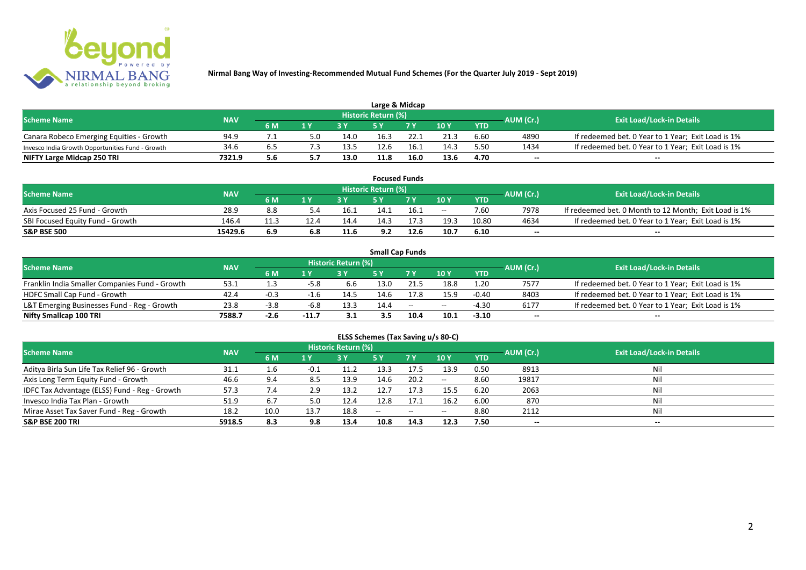

| Large & Midcap                                   |            |     |                         |      |                            |      |      |            |           |                                                    |  |  |  |
|--------------------------------------------------|------------|-----|-------------------------|------|----------------------------|------|------|------------|-----------|----------------------------------------------------|--|--|--|
| <b>Scheme Name</b>                               | <b>NAV</b> |     |                         |      | <b>Historic Return (%)</b> |      |      |            | AUM (Cr.) | <b>Exit Load/Lock-in Details</b>                   |  |  |  |
|                                                  |            | 6 M | $\mathbf{A} \mathbf{V}$ |      |                            | 7 V  | 10Y  | <b>YTD</b> |           |                                                    |  |  |  |
| Canara Robeco Emerging Equities - Growth         | 94.9       |     |                         | 14.0 | 16.3                       | 22.1 | 21.3 | 6.60       | 4890      | If redeemed bet. 0 Year to 1 Year; Exit Load is 1% |  |  |  |
| Invesco India Growth Opportunities Fund - Growth | 34.6       |     |                         | 13.5 | 12.6                       |      | 14.3 | 5.50       | 1434      | If redeemed bet. 0 Year to 1 Year; Exit Load is 1% |  |  |  |
| NIFTY Large Midcap 250 TRI                       | 7321.9     | 5.6 |                         | 13.0 | 11.8                       | 16.0 | 13.6 | 4.70       | $- -$     | $- -$                                              |  |  |  |

| <b>Focused Funds</b>             |            |     |     |      |                     |      |       |            |           |                                                       |  |  |  |
|----------------------------------|------------|-----|-----|------|---------------------|------|-------|------------|-----------|-------------------------------------------------------|--|--|--|
| <b>Scheme Name</b>               | <b>NAV</b> |     |     |      | Historic Return (%) |      |       |            | AUM (Cr.) | <b>Exit Load/Lock-in Details</b>                      |  |  |  |
|                                  |            | 6 M | 1 V |      | cν                  | 7 V  | 10 Y  | <b>YTD</b> |           |                                                       |  |  |  |
| Axis Focused 25 Fund - Growth    | 28.9       | 8.8 |     | ذ.16 | 14.1                | 16.1 | $- -$ | 7.60       | 7978      | If redeemed bet. 0 Month to 12 Month; Exit Load is 1% |  |  |  |
| SBI Focused Equity Fund - Growth | 146.4      |     |     | 14.4 | 14.3                |      | 19.3  | 10.80      | 4634      | If redeemed bet. 0 Year to 1 Year; Exit Load is 1%    |  |  |  |
| <b>S&amp;P BSE 500</b>           | 15429.6    | 6.9 | 6.8 | 11.6 | 9.2                 | 12.6 | 10.7  | 6.10       | $- -$     | $- -$                                                 |  |  |  |

|                                                |            |        |         |                     |      | <b>Small Cap Funds</b> |       |            |           |                                                    |
|------------------------------------------------|------------|--------|---------|---------------------|------|------------------------|-------|------------|-----------|----------------------------------------------------|
| <b>Scheme Name</b>                             | <b>NAV</b> |        |         | Historic Return (%) |      |                        |       |            | AUM (Cr.) | <b>Exit Load/Lock-in Details</b>                   |
|                                                |            | 6 M    |         |                     |      |                        | 10Y   | <b>YTD</b> |           |                                                    |
| Franklin India Smaller Companies Fund - Growth | 53.1       |        | $-5.8$  | b.b                 | 13.0 | 21.5                   | 18.8  | 1.20       | 7577      | If redeemed bet. 0 Year to 1 Year; Exit Load is 1% |
| HDFC Small Cap Fund - Growth                   | 42.4       | $-0.3$ |         | 14.5                | 14.6 | 17.8                   | 15.9  | $-0.40$    | 8403      | If redeemed bet. 0 Year to 1 Year; Exit Load is 1% |
| L&T Emerging Businesses Fund - Reg - Growth    | 23.8       | -3.8   | -6.8    | 13.3                | 14.4 | $\sim$                 | $- -$ | -4.30      | 6177      | If redeemed bet. 0 Year to 1 Year; Exit Load is 1% |
| Nifty Smallcap 100 TRI                         | 7588.7     | $-2.6$ | $-11.7$ | 3.1                 | 3.5  | 10.4                   | 10.1  | $-3.10$    | $- -$     | --                                                 |

# **ELSS Schemes (Tax Saving u/s 80-C)**

| <b>Scheme Name</b>                            | <b>NAV</b> |      |                         | <b>Historic Return (%)</b> |               |            |               |            | AUM (Cr.) | Exit Load/Lock-in Details |
|-----------------------------------------------|------------|------|-------------------------|----------------------------|---------------|------------|---------------|------------|-----------|---------------------------|
|                                               |            | 6 M  | $\mathbf{1} \mathbf{V}$ |                            | <b>5 Y</b>    | <b>7 Y</b> | 10Y           | <b>YTD</b> |           |                           |
| Aditya Birla Sun Life Tax Relief 96 - Growth  | 31.1       | 1.6  | -0.1                    | 11.2                       | 13.3          | 17.5       | 13.9          | 0.50       | 8913      | Nil                       |
| Axis Long Term Equity Fund - Growth           | 46.6       | 9.4  | 8.5                     | 13.9                       | 14.6          | 20.2       | $\sim$ $\sim$ | 8.60       | 19817     | Nil                       |
| IDFC Tax Advantage (ELSS) Fund - Reg - Growth | 57.3       | 7.4  | 2.9                     | 13.2                       | 12.7          | 17.3       | 15.5          | 6.20       | 2063      | Nil                       |
| Invesco India Tax Plan - Growth               | 51.9       | 6.7  | 5.0                     | 12.4                       | 12.8          | 17.1       | 16.2          | 6.00       | 870       | Nil                       |
| Mirae Asset Tax Saver Fund - Reg - Growth     | 18.2       | 10.0 | 13.7                    | 18.8                       | $\sim$ $\sim$ | $- -$      | $- -$         | 8.80       | 2112      | Nil                       |
| <b>S&amp;P BSE 200 TRI</b>                    | 5918.5     | 8.3  | 9.8                     | 13.4                       | 10.8          | 14.3       | 12.3          | 7.50       | $- -$     | $- -$                     |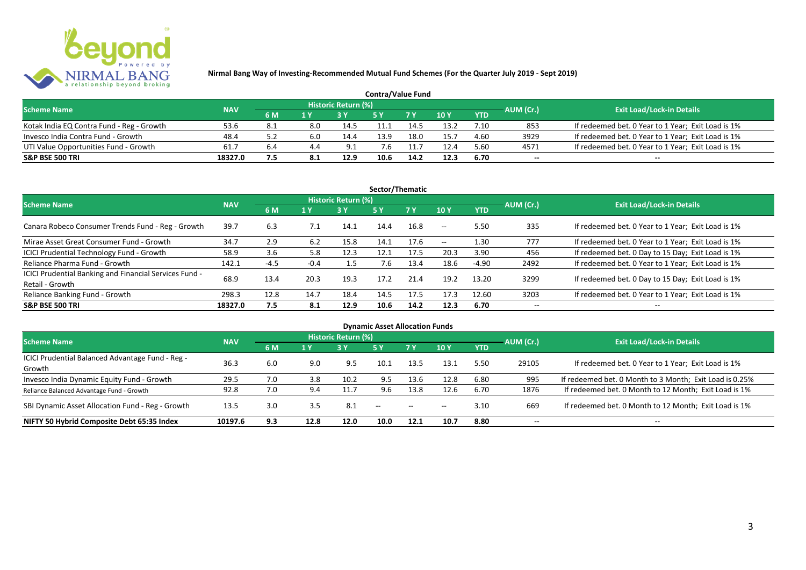

| <b>Contra/Value Fund</b>                  |            |     |     |                     |      |                |        |            |           |                                                    |  |  |  |
|-------------------------------------------|------------|-----|-----|---------------------|------|----------------|--------|------------|-----------|----------------------------------------------------|--|--|--|
| <b>Scheme Name</b>                        | <b>NAV</b> |     |     | Historic Return (%) |      |                |        |            | AUM (Cr.) | <b>Exit Load/Lock-in Details</b>                   |  |  |  |
|                                           |            | 6 M |     |                     |      | 7 <sub>Y</sub> | $-10Y$ | <b>YTD</b> |           |                                                    |  |  |  |
| Kotak India EQ Contra Fund - Reg - Growth | 53.6       | 8.1 | 8.0 | 14.5                |      | 14.            | 13.2   | 7.10       | 853       | If redeemed bet. 0 Year to 1 Year; Exit Load is 1% |  |  |  |
| Invesco India Contra Fund - Growth        | 48.4       | 5.2 | 6.0 | 14.4                | 13.9 | 18.0           | 15.7   | 4.60       | 3929      | If redeemed bet. 0 Year to 1 Year; Exit Load is 1% |  |  |  |
| UTI Value Opportunities Fund - Growth     | 61.7       | 6.4 | 4.4 | 9.1                 |      |                | 12.4   | 5.60       | 4571      | If redeemed bet. 0 Year to 1 Year; Exit Load is 1% |  |  |  |
| <b>S&amp;P BSE 500 TRI</b>                | 18327.0    | 7.5 | 8.1 | 12.9                | 10.6 | 14.2           | 12.3   | 6.70       | $-$       | $- -$                                              |  |  |  |

| Sector/Thematic                                                           |            |        |        |                            |            |           |            |            |           |                                                    |  |  |  |
|---------------------------------------------------------------------------|------------|--------|--------|----------------------------|------------|-----------|------------|------------|-----------|----------------------------------------------------|--|--|--|
| <b>Scheme Name</b>                                                        | <b>NAV</b> |        |        | <b>Historic Return (%)</b> |            |           |            |            | AUM (Cr.) | <b>Exit Load/Lock-in Details</b>                   |  |  |  |
|                                                                           |            | 6 M    | 1 Y    | <b>3Y</b>                  | <b>5 Y</b> | <b>7Y</b> | 10Y        | <b>YTD</b> |           |                                                    |  |  |  |
| Canara Robeco Consumer Trends Fund - Reg - Growth                         | 39.7       | 6.3    | 7.1    | 14.1                       | 14.4       | 16.8      | $- -$      | 5.50       | 335       | If redeemed bet. 0 Year to 1 Year; Exit Load is 1% |  |  |  |
| Mirae Asset Great Consumer Fund - Growth                                  | 34.7       | 2.9    | 6.2    | 15.8                       | 14.1       | 17.6      | $\sim$ $-$ | 1.30       | 777       | If redeemed bet. 0 Year to 1 Year; Exit Load is 1% |  |  |  |
| <b>ICICI Prudential Technology Fund - Growth</b>                          | 58.9       | 3.6    | 5.8    | 12.3                       | 12.1       | 17.5      | 20.3       | 3.90       | 456       | If redeemed bet. 0 Day to 15 Day; Exit Load is 1%  |  |  |  |
| Reliance Pharma Fund - Growth                                             | 142.1      | $-4.5$ | $-0.4$ | 1.5                        | 7.6        | 13.4      | 18.6       | $-4.90$    | 2492      | If redeemed bet. 0 Year to 1 Year; Exit Load is 1% |  |  |  |
| ICICI Prudential Banking and Financial Services Fund -<br>Retail - Growth | 68.9       | 13.4   | 20.3   | 19.3                       | 17.2       | 21.4      | 19.2       | 13.20      | 3299      | If redeemed bet. 0 Day to 15 Day; Exit Load is 1%  |  |  |  |
| Reliance Banking Fund - Growth                                            | 298.3      | 12.8   | 14.7   | 18.4                       | 14.5       | 17.5      | 17.3       | 12.60      | 3203      | If redeemed bet. 0 Year to 1 Year; Exit Load is 1% |  |  |  |
| <b>S&amp;P BSE 500 TRI</b>                                                | 18327.0    | 7.5    | 8.1    | 12.9                       | 10.6       | 14.2      | 12.3       | 6.70       |           | --                                                 |  |  |  |

| <b>Dynamic Asset Allocation Funds</b>            |            |     |      |                            |               |               |       |            |                          |                                                         |  |  |  |
|--------------------------------------------------|------------|-----|------|----------------------------|---------------|---------------|-------|------------|--------------------------|---------------------------------------------------------|--|--|--|
| <b>Scheme Name</b>                               | <b>NAV</b> |     |      | <b>Historic Return (%)</b> |               |               |       |            | AUM (Cr.)                | <b>Exit Load/Lock-in Details</b>                        |  |  |  |
|                                                  |            | 6 M | 1 Y  | 3 Y                        | 5 Y           | .7 Y          | 10Y   | <b>YTD</b> |                          |                                                         |  |  |  |
| ICICI Prudential Balanced Advantage Fund - Reg - | 36.3       |     |      | 9.5                        | 10.1          |               | 13.1  |            |                          |                                                         |  |  |  |
| Growth                                           |            | 6.0 | 9.0  |                            |               | 13.5          |       | 5.50       | 29105                    | If redeemed bet. 0 Year to 1 Year; Exit Load is 1%      |  |  |  |
| Invesco India Dynamic Equity Fund - Growth       | 29.5       | 7.0 | 3.8  | 10.2                       | 9.5           | 13.6          | 12.8  | 6.80       | 995                      | If redeemed bet. 0 Month to 3 Month; Exit Load is 0.25% |  |  |  |
| Reliance Balanced Advantage Fund - Growth        | 92.8       | 7.0 | 9.4  | 11.7                       | 9.6           | 13.8          | 12.6  | 6.70       | 1876                     | If redeemed bet. 0 Month to 12 Month; Exit Load is 1%   |  |  |  |
| SBI Dynamic Asset Allocation Fund - Reg - Growth | 13.5       | 3.0 | 3.5  | 8.1                        | $\sim$ $\sim$ | $\sim$ $\sim$ | $- -$ | 3.10       | 669                      | If redeemed bet. 0 Month to 12 Month; Exit Load is 1%   |  |  |  |
| NIFTY 50 Hybrid Composite Debt 65:35 Index       | 10197.6    | 9.3 | 12.8 | 12.0                       | 10.0          | 12.1          | 10.7  | 8.80       | $\overline{\phantom{a}}$ | $- -$                                                   |  |  |  |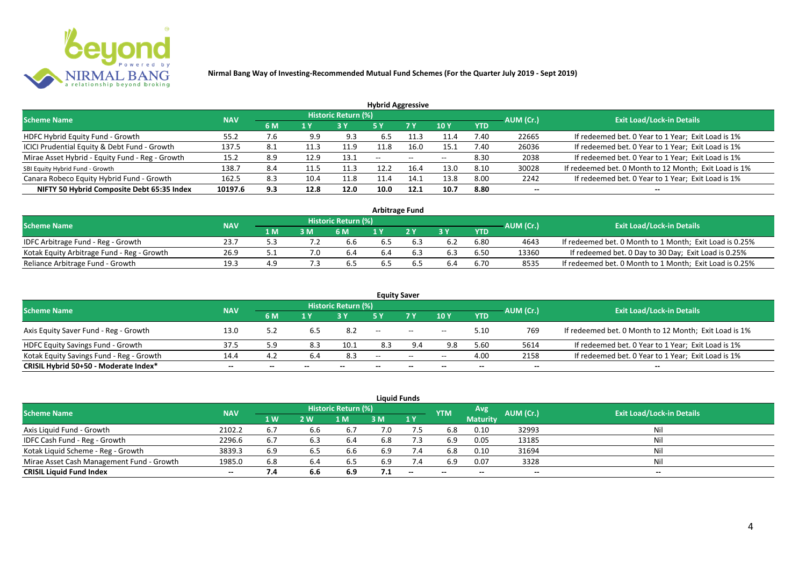

| <b>Hybrid Aggressive</b>                        |            |      |                         |                            |               |                          |       |            |           |                                                       |  |  |  |
|-------------------------------------------------|------------|------|-------------------------|----------------------------|---------------|--------------------------|-------|------------|-----------|-------------------------------------------------------|--|--|--|
| <b>Scheme Name</b>                              | <b>NAV</b> |      |                         | <b>Historic Return (%)</b> |               |                          |       |            | AUM (Cr.) | <b>Exit Load/Lock-in Details</b>                      |  |  |  |
|                                                 |            | 6 M  | $\mathbf{1} \mathbf{V}$ |                            | <b>5 Y</b>    | 7 Y                      | 10Y   | <b>YTD</b> |           |                                                       |  |  |  |
| HDFC Hybrid Equity Fund - Growth                | 55.2       | 7.6  | 9.9                     | 9.3                        | 6.5           |                          | 11.4  | 7.40       | 22665     | If redeemed bet. 0 Year to 1 Year; Exit Load is 1%    |  |  |  |
| ICICI Prudential Equity & Debt Fund - Growth    | 137.5      | -8.1 | 11.3                    | 11.9                       | 11.8          | 16.0                     | 15.1  | 7.40       | 26036     | If redeemed bet. 0 Year to 1 Year; Exit Load is 1%    |  |  |  |
| Mirae Asset Hybrid - Equity Fund - Reg - Growth | 15.2       | 8.9  | 12.9                    | 13.1                       | $\sim$ $\sim$ | $\overline{\phantom{a}}$ | $- -$ | 8.30       | 2038      | If redeemed bet. 0 Year to 1 Year; Exit Load is 1%    |  |  |  |
| SBI Equity Hybrid Fund - Growth                 | 138.7      | 8.4  | 11.5                    | 11.3                       | 12.2          | 16.4                     | 13.0  | 8.10       | 30028     | If redeemed bet. 0 Month to 12 Month; Exit Load is 1% |  |  |  |
| Canara Robeco Equity Hybrid Fund - Growth       | 162.5      | 8.3  | 10.4                    | 11.8                       | 11.4          | 14.1                     | 13.8  | 8.00       | 2242      | If redeemed bet. 0 Year to 1 Year; Exit Load is 1%    |  |  |  |
| NIFTY 50 Hybrid Composite Debt 65:35 Index      | 10197.6    | 9.3  | 12.8                    | 12.0                       | 10.0          | 12.1                     | 10.7  | 8.80       | $- -$     | $- -$                                                 |  |  |  |

| <b>Arbitrage Fund</b>                      |            |     |     |                            |     |  |     |      |           |                                                         |  |  |  |
|--------------------------------------------|------------|-----|-----|----------------------------|-----|--|-----|------|-----------|---------------------------------------------------------|--|--|--|
| <b>Scheme Name</b>                         | <b>NAV</b> |     |     | <b>Historic Return (%)</b> |     |  |     |      | AUM (Cr.) | <b>Exit Load/Lock-in Details</b>                        |  |  |  |
|                                            |            | 1 M | 3 M | 6 M                        |     |  | 2 V | YTD  |           |                                                         |  |  |  |
| IDFC Arbitrage Fund - Reg - Growth         | 23.7       |     |     | 6.6                        | 6.5 |  |     | 6.80 | 4643      | If redeemed bet. 0 Month to 1 Month; Exit Load is 0.25% |  |  |  |
| Kotak Equity Arbitrage Fund - Reg - Growth | 26.9       |     |     | b.4                        | 6.4 |  |     | 6.50 | 13360     | If redeemed bet. 0 Day to 30 Day; Exit Load is 0.25%    |  |  |  |
| Reliance Arbitrage Fund - Growth           | 19.3       | 4.9 |     | .b.                        | 6.5 |  |     | 6.70 | 8535      | If redeemed bet. 0 Month to 1 Month; Exit Load is 0.25% |  |  |  |

|                                          |            |       |     |                     |               | <b>Equity Saver</b>                                 |       |            |           |                                                       |
|------------------------------------------|------------|-------|-----|---------------------|---------------|-----------------------------------------------------|-------|------------|-----------|-------------------------------------------------------|
| <b>Scheme Name</b>                       | <b>NAV</b> |       |     | Historic Return (%) |               |                                                     |       |            |           | <b>Exit Load/Lock-in Details</b>                      |
|                                          |            | 6 M   | 1 Y |                     |               | 7 <sub>V</sub>                                      | 10Y   | <b>YTD</b> | AUM (Cr.) |                                                       |
| Axis Equity Saver Fund - Reg - Growth    | 13.0       | 5.2   | ხ.5 | 8.2                 | $- -$         | $\hspace{0.1mm}-\hspace{0.1mm}-\hspace{0.1mm}$      | $- -$ | 5.10       | 769       | If redeemed bet. 0 Month to 12 Month; Exit Load is 1% |
| HDFC Equity Savings Fund - Growth        | 37.5       | 5.9   | 8.3 | 10.1                | 8.3           | 9.4                                                 | 9.8   | 5.60       | 5614      | If redeemed bet. 0 Year to 1 Year; Exit Load is 1%    |
| Kotak Equity Savings Fund - Reg - Growth | 14.4       | 4.2   | 6.4 | 8.3                 | $\sim$ $\sim$ | $\hspace{0.05cm} -\hspace{0.05cm} -\hspace{0.05cm}$ | $- -$ | 4.00       | 2158      | If redeemed bet. 0 Year to 1 Year; Exit Load is 1%    |
| CRISIL Hybrid 50+50 - Moderate Index*    | $- -$      | $- -$ |     | --                  | --            | $- -$                                               |       | --         | --        | $- -$                                                 |

|                                           |            |           |     |                     |     | <b>Liquid Funds</b>      |            |                 |           |                                  |
|-------------------------------------------|------------|-----------|-----|---------------------|-----|--------------------------|------------|-----------------|-----------|----------------------------------|
| <b>Scheme Name</b>                        | <b>NAV</b> |           |     | Historic Return (%) |     |                          | <b>YTM</b> | Avg             | AUM (Cr.) | <b>Exit Load/Lock-in Details</b> |
|                                           |            | <b>1W</b> | 2 W | 1 M                 | 3 M | 1Y                       |            | <b>Maturity</b> |           |                                  |
| Axis Liquid Fund - Growth                 | 2102.2     | 6.7       | 6.6 | 6.7                 | 7.0 |                          | 6.8        | 0.10            | 32993     | Nil                              |
| IDFC Cash Fund - Reg - Growth             | 2296.6     | 6.7       | 6.3 | 6.4                 | 6.8 | 7.3                      | 6.9        | 0.05            | 13185     | Nil                              |
| Kotak Liquid Scheme - Reg - Growth        | 3839.3     | 6.9       | 6.5 | 6.6                 | 6.9 | 7.4                      | 6.8        | 0.10            | 31694     | Nil                              |
| Mirae Asset Cash Management Fund - Growth | 1985.0     | 6.8       |     | 6.5                 | 6.9 | 7.4                      | 6.9        | 0.07            | 3328      | Nil                              |
| <b>CRISIL Liquid Fund Index</b>           | $-$        | 7.4       | 6.6 | 6.9                 | 7.1 | $\overline{\phantom{a}}$ | $- -$      | $- -$           | $- -$     | $- -$                            |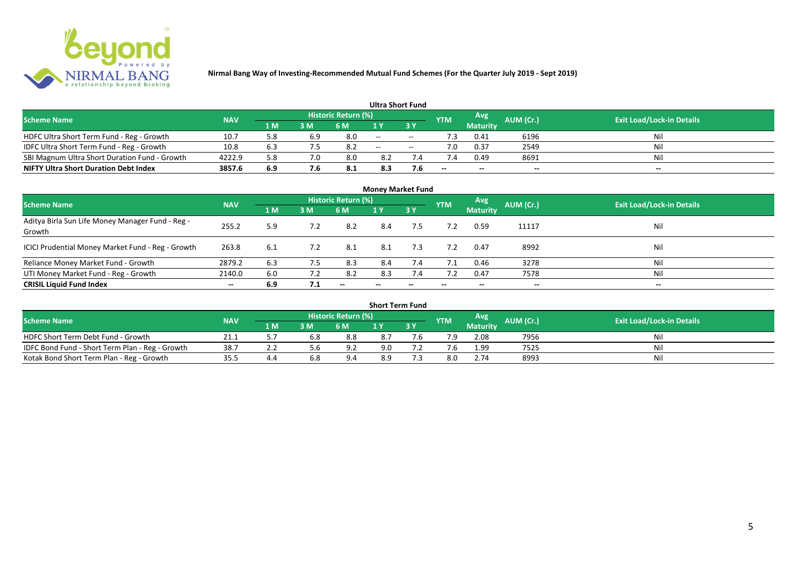

|                                               |            |       |     |                            |       | <b>Ultra Short Fund</b>       |            |                 |           |                                  |
|-----------------------------------------------|------------|-------|-----|----------------------------|-------|-------------------------------|------------|-----------------|-----------|----------------------------------|
| <b>Scheme Name</b>                            | <b>NAV</b> |       |     | <b>Historic Return (%)</b> |       |                               | <b>YTM</b> | Avg             | AUM (Cr.) | <b>Exit Load/Lock-in Details</b> |
|                                               |            | '1 M. | 3 M | 6 M                        |       | $\overline{3}$ $\overline{Y}$ |            | <b>Maturity</b> |           |                                  |
| HDFC Ultra Short Term Fund - Reg - Growth     | 10.7       | 5.8   | 6.9 | 8.0                        | $- -$ | $- -$                         |            | 0.41            | 6196      | Ni!                              |
| IDFC Ultra Short Term Fund - Reg - Growth     | 10.8       | 6.3   |     | 8.2                        | $- -$ | $- -$                         | ∕.0        | 0.37            | 2549      | Nil                              |
| SBI Magnum Ultra Short Duration Fund - Growth | 4222.9     | 5.8   |     | 8.0                        | 8.2   |                               |            | 0.49            | 8691      | Nil                              |
| <b>NIFTY Ultra Short Duration Debt Index</b>  | 3857.6     | 6.9   | 7.6 | -8.1                       | 8.3   | 7.6                           | $- -$      | $- -$           | $\sim$    | $- -$                            |

| <b>Money Market Fund</b>                                   |            |     |     |                          |     |                          |            |                 |           |                                  |  |  |  |  |
|------------------------------------------------------------|------------|-----|-----|--------------------------|-----|--------------------------|------------|-----------------|-----------|----------------------------------|--|--|--|--|
| <b>Scheme Name</b>                                         | <b>NAV</b> |     |     | Historic Return (%)      |     |                          | <b>YTM</b> | Avg             | AUM (Cr.) | <b>Exit Load/Lock-in Details</b> |  |  |  |  |
|                                                            |            | 1 M | 3 M | 6 M                      | 1Y  | 3Y                       |            | <b>Maturity</b> |           |                                  |  |  |  |  |
| Aditya Birla Sun Life Money Manager Fund - Reg -<br>Growth | 255.2      | 5.9 | 7.2 | 8.2                      | 8.4 | 7.5                      |            | 0.59            | 11117     | Nil                              |  |  |  |  |
| ICICI Prudential Money Market Fund - Reg - Growth          | 263.8      | 6.1 | 7.2 | 8.1                      | 8.1 | 7.3                      | 7.2        | 0.47            | 8992      | Nil                              |  |  |  |  |
| Reliance Money Market Fund - Growth                        | 2879.2     | 6.3 | 7.5 | 8.3                      | 8.4 | 7.4                      | 7.1        | 0.46            | 3278      | Nil                              |  |  |  |  |
| UTI Money Market Fund - Reg - Growth                       | 2140.0     | 6.0 | 7.2 | 8.2                      | 8.3 | 7.4                      | 7.2        | 0.47            | 7578      | Nil                              |  |  |  |  |
| <b>CRISIL Liquid Fund Index</b>                            | $- -$      | 6.9 | 7.1 | $\overline{\phantom{a}}$ | --  | $\overline{\phantom{a}}$ | $- -$      | $- -$           | --        | $- -$                            |  |  |  |  |

| <b>Short Term Fund</b>                          |            |     |     |                            |     |     |            |                 |           |                                  |  |  |  |  |
|-------------------------------------------------|------------|-----|-----|----------------------------|-----|-----|------------|-----------------|-----------|----------------------------------|--|--|--|--|
| <b>Scheme Name</b>                              | <b>NAV</b> |     |     | <b>Historic Return (%)</b> |     |     | <b>YTM</b> | Avg             | AUM (Cr.) | <b>Exit Load/Lock-in Details</b> |  |  |  |  |
|                                                 |            | 1 M | 3M  | 6 M                        |     | 3 Y |            | <b>Maturity</b> |           |                                  |  |  |  |  |
| HDFC Short Term Debt Fund - Growth              | 21.1       |     | 6.8 | 8.8                        | 8.7 |     | 7.9        | 2.08            | 7956      | Nil                              |  |  |  |  |
| IDFC Bond Fund - Short Term Plan - Reg - Growth | 38.7       |     |     | ΩC                         | 9.0 |     |            | 1.99            | 7525      | Nil                              |  |  |  |  |
| Kotak Bond Short Term Plan - Reg - Growth       | 35.5       | 4.4 | 6.8 | 9.4                        | 8.9 |     |            | 2.74            | 8993      | Nil                              |  |  |  |  |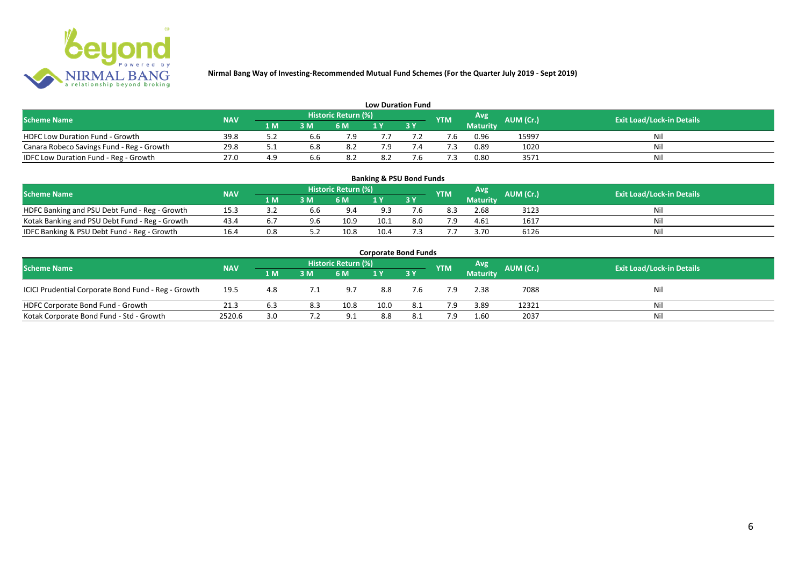

| <b>Low Duration Fund</b>                  |            |     |     |                            |     |  |            |          |           |                                  |  |  |  |  |
|-------------------------------------------|------------|-----|-----|----------------------------|-----|--|------------|----------|-----------|----------------------------------|--|--|--|--|
| <b>Scheme Name</b>                        | <b>NAV</b> |     |     | <b>Historic Return (%)</b> |     |  | <b>YTM</b> | Avg      | AUM (Cr.) | <b>Exit Load/Lock-in Details</b> |  |  |  |  |
|                                           |            | 1 M | 3 M | 6 M                        | 1 Y |  |            | Maturity |           |                                  |  |  |  |  |
| <b>HDFC Low Duration Fund - Growth</b>    | 39.8       |     | 6.6 | 7 Q                        |     |  |            | 0.96     | 15997     | Nil                              |  |  |  |  |
| Canara Robeco Savings Fund - Reg - Growth | 29.8       |     | 6.8 | 8.2                        | 7.9 |  |            | 0.89     | 1020      | Nil                              |  |  |  |  |
| IDFC Low Duration Fund - Reg - Growth     | 27.0       | 4.9 | b.b | 8.2                        | 8.2 |  |            | 0.80     | 3571      | Nil                              |  |  |  |  |

| <b>Banking &amp; PSU Bond Funds</b>                                                                                                  |      |     |     |      |      |     |     |                 |      |     |  |  |  |  |
|--------------------------------------------------------------------------------------------------------------------------------------|------|-----|-----|------|------|-----|-----|-----------------|------|-----|--|--|--|--|
| Historic Return (%)<br>Avg<br><b>AUM (Cr.)</b><br><b>Exit Load/Lock-in Details</b><br><b>Scheme Name</b><br><b>NAV</b><br><b>YTM</b> |      |     |     |      |      |     |     |                 |      |     |  |  |  |  |
|                                                                                                                                      |      | 1 M | 3M  | 6 M  |      | 3Y  |     | <b>Maturity</b> |      |     |  |  |  |  |
| HDFC Banking and PSU Debt Fund - Reg - Growth                                                                                        | 15.3 |     | 6.6 | 9.4  | 9.3  |     | 8.3 | 2.68            | 3123 | Nil |  |  |  |  |
| Kotak Banking and PSU Debt Fund - Reg - Growth                                                                                       | 43.4 | b.  | 9.6 | 10.9 | 10.1 | 8.0 | 7.9 | 4.61            | 1617 | Nil |  |  |  |  |
| IDFC Banking & PSU Debt Fund - Reg - Growth                                                                                          | 16.4 | 0.8 |     | 10.8 | 10.4 |     |     | 3.70            | 6126 | Ni  |  |  |  |  |

| <b>Corporate Bond Funds</b>                                                                                                   |        |     |     |      |      |     |     |                 |       |     |  |  |  |  |
|-------------------------------------------------------------------------------------------------------------------------------|--------|-----|-----|------|------|-----|-----|-----------------|-------|-----|--|--|--|--|
| Historic Return (%)<br>Avg<br>AUM (Cr.)<br><b>Exit Load/Lock-in Details</b><br><b>Scheme Name</b><br><b>NAV</b><br><b>YTM</b> |        |     |     |      |      |     |     |                 |       |     |  |  |  |  |
|                                                                                                                               |        | 1 M | 3 M | 6 M  |      | 3Y  |     | <b>Maturity</b> |       |     |  |  |  |  |
| ICICI Prudential Corporate Bond Fund - Reg - Growth                                                                           | 19.5   | 4.8 |     | 9.7  | 8.8  | 7.6 | 7.9 | 2.38            | 7088  | Nil |  |  |  |  |
| HDFC Corporate Bond Fund - Growth                                                                                             | 21.3   | 6.3 | 8.3 | 10.8 | 10.0 |     | 7.9 | 3.89            | 12321 | Nil |  |  |  |  |
| Kotak Corporate Bond Fund - Std - Growth                                                                                      | 2520.6 | 3.0 |     | 9.1  | 8.8  |     | 7.9 | 1.60            | 2037  | Nil |  |  |  |  |